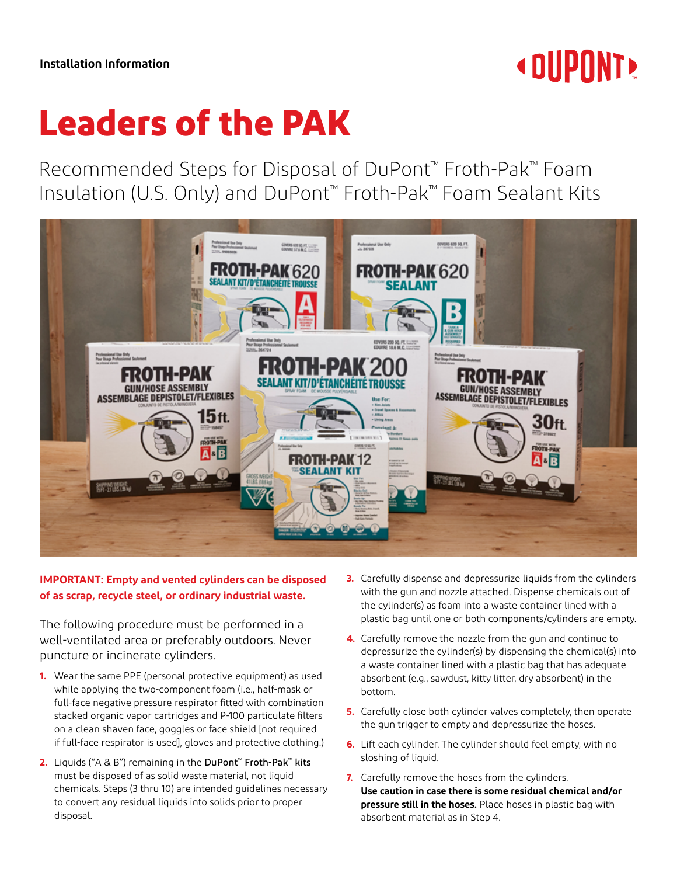

## **Leaders of the PAK**

Recommended Steps for Disposal of DuPont™ Froth-Pak™ Foam Insulation (U.S. Only) and DuPont™ Froth-Pak™ Foam Sealant Kits



## **IMPORTANT: Empty and vented cylinders can be disposed of as scrap, recycle steel, or ordinary industrial waste.**

The following procedure must be performed in a well-ventilated area or preferably outdoors. Never puncture or incinerate cylinders.

- **1.** Wear the same PPE (personal protective equipment) as used while applying the two-component foam (i.e., half-mask or full-face negative pressure respirator fitted with combination stacked organic vapor cartridges and P-100 particulate filters on a clean shaven face, goggles or face shield [not required if full-face respirator is used], gloves and protective clothing.)
- **2.** Liquids ("A & B") remaining in the DuPont™ Froth-Pak™ kits must be disposed of as solid waste material, not liquid chemicals. Steps (3 thru 10) are intended guidelines necessary to convert any residual liquids into solids prior to proper disposal.
- **3.** Carefully dispense and depressurize liquids from the cylinders with the gun and nozzle attached. Dispense chemicals out of the cylinder(s) as foam into a waste container lined with a plastic bag until one or both components/cylinders are empty.
- **4.** Carefully remove the nozzle from the gun and continue to depressurize the cylinder(s) by dispensing the chemical(s) into a waste container lined with a plastic bag that has adequate absorbent (e.g., sawdust, kitty litter, dry absorbent) in the bottom.
- **5.** Carefully close both cylinder valves completely, then operate the gun trigger to empty and depressurize the hoses.
- **6.** Lift each cylinder. The cylinder should feel empty, with no sloshing of liquid.
- **7.** Carefully remove the hoses from the cylinders. **Use caution in case there is some residual chemical and/or pressure still in the hoses.** Place hoses in plastic bag with absorbent material as in Step 4.